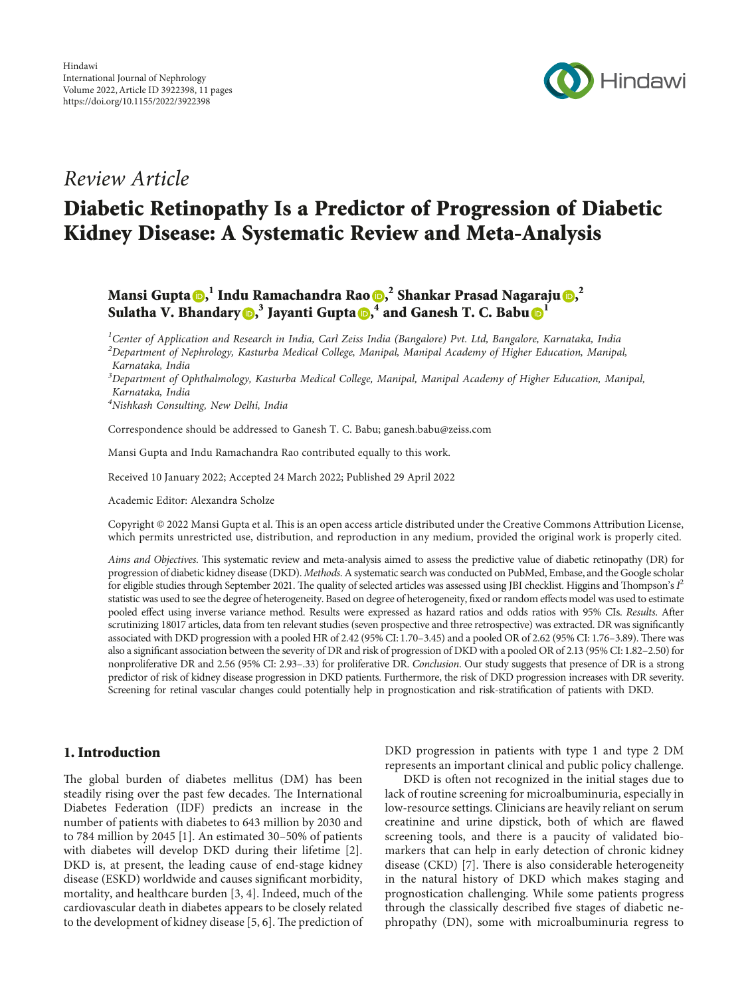

# Review Article

# Diabetic Retinopathy Is a Predictor of Progression of Diabetic Kidney Disease: A Systematic Review and Meta-Analysis

Mansi Gupta $\bm{\odot},^1$  $\bm{\odot},^1$  $\bm{\odot},^1$  Indu Ramachandra Rao $\bm{\odot},^2$  Shankar Prasad Nagaraju $\bm{\odot},^2$ Sulatha V. Bhandary (D[,](https://orcid.org/0000-0002-3150-707X) $^3$  Jayanti Gupta (D, $^4$  and Ganesh T. C. Babu (D $^1$  $^1$ 

 $^1$ Center of Application and Research in India, Carl Zeiss India (Bangalore) Pvt. Ltd, Bangalore, Karnataka, India  $^2$ Department of Nephrology, Kasturba Medical College, Manipal, Manipal Academy of Higher Education, Manipal, Karnataka, India

 $^3$ Department of Ophthalmology, Kasturba Medical College, Manipal, Manipal Academy of Higher Education, Manipal, Karnataka, India

4 Nishkash Consulting, New Delhi, India

Correspondence should be addressed to Ganesh T. C. Babu; [ganesh.babu@zeiss.com](mailto:ganesh.babu@zeiss.com)

Mansi Gupta and Indu Ramachandra Rao contributed equally to this work.

Received 10 January 2022; Accepted 24 March 2022; Published 29 April 2022

Academic Editor: Alexandra Scholze

Copyright © 2022 Mansi Gupta et al. This is an open access article distributed under the [Creative Commons Attribution License,](https://creativecommons.org/licenses/by/4.0/) which permits unrestricted use, distribution, and reproduction in any medium, provided the original work is properly cited.

Aims and Objectives. This systematic review and meta-analysis aimed to assess the predictive value of diabetic retinopathy (DR) for progression of diabetic kidney disease (DKD). Methods. A systematic search was conducted on PubMed, Embase, and the Google scholar for eligible studies through September 2021. The quality of selected articles was assessed using JBI checklist. Higgins and Thompson's  $I^2$ statistic was used to see the degree of heterogeneity. Based on degree of heterogeneity, fixed or random effects model was used to estimate pooled effect using inverse variance method. Results were expressed as hazard ratios and odds ratios with 95% CIs. Results. After scrutinizing 18017 articles, data from ten relevant studies (seven prospective and three retrospective) was extracted. DR was signicantly associated with DKD progression with a pooled HR of 2.42 (95% CI: 1.70-3.45) and a pooled OR of 2.62 (95% CI: 1.76-3.89). There was also a signicant association between the severity of DR and risk of progression of DKD with a pooled OR of 2.13 (95% CI: 1.82–2.50) for nonproliferative DR and 2.56 (95% CI: 2.93–.33) for proliferative DR. Conclusion. Our study suggests that presence of DR is a strong predictor of risk of kidney disease progression in DKD patients. Furthermore, the risk of DKD progression increases with DR severity. Screening for retinal vascular changes could potentially help in prognostication and risk-stratification of patients with DKD.

# 1. Introduction

The global burden of diabetes mellitus (DM) has been steadily rising over the past few decades. The International Diabetes Federation (IDF) predicts an increase in the number of patients with diabetes to 643 million by 2030 and to 784 million by 2045 [[1\]](#page-8-0). An estimated 30–50% of patients with diabetes will develop DKD during their lifetime [[2](#page-8-0)]. DKD is, at present, the leading cause of end-stage kidney disease (ESKD) worldwide and causes significant morbidity, mortality, and healthcare burden [\[3](#page-8-0), [4\]](#page-8-0). Indeed, much of the cardiovascular death in diabetes appears to be closely related to the development of kidney disease [[5](#page-8-0), [6](#page-8-0)]. The prediction of DKD progression in patients with type 1 and type 2 DM represents an important clinical and public policy challenge.

DKD is often not recognized in the initial stages due to lack of routine screening for microalbuminuria, especially in low-resource settings. Clinicians are heavily reliant on serum creatinine and urine dipstick, both of which are flawed screening tools, and there is a paucity of validated biomarkers that can help in early detection of chronic kidney disease (CKD)  $[7]$ . There is also considerable heterogeneity in the natural history of DKD which makes staging and prognostication challenging. While some patients progress through the classically described five stages of diabetic nephropathy (DN), some with microalbuminuria regress to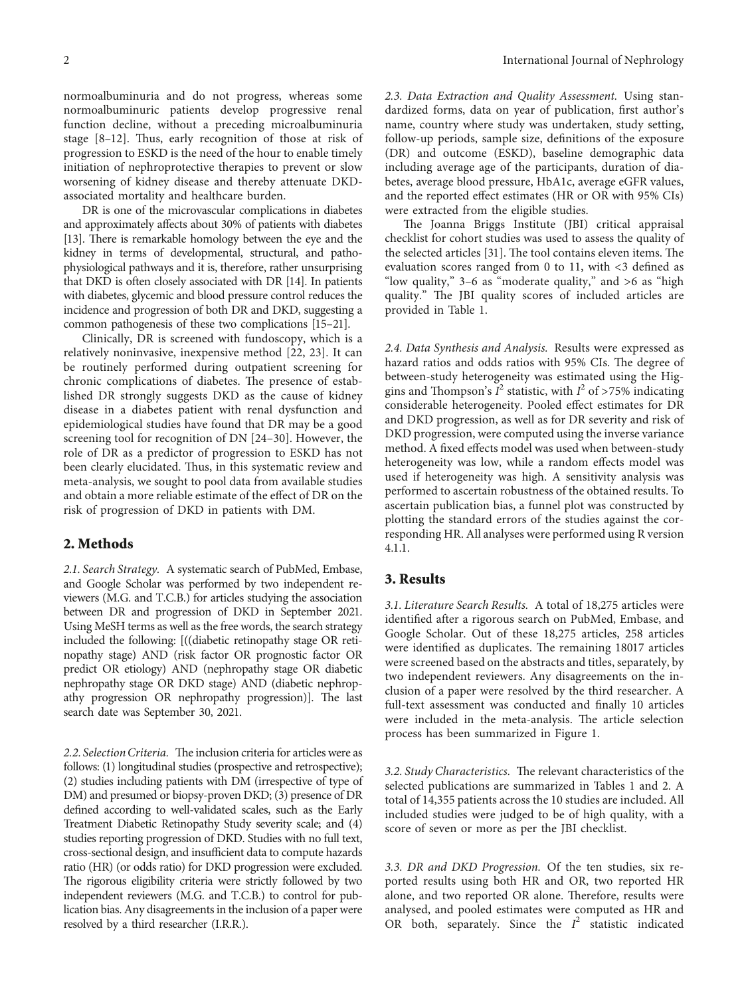normoalbuminuria and do not progress, whereas some normoalbuminuric patients develop progressive renal function decline, without a preceding microalbuminuria stage  $[8-12]$ . Thus, early recognition of those at risk of progression to ESKD is the need of the hour to enable timely initiation of nephroprotective therapies to prevent or slow worsening of kidney disease and thereby attenuate DKDassociated mortality and healthcare burden.

DR is one of the microvascular complications in diabetes and approximately affects about 30% of patients with diabetes [\[13\]](#page-9-0). There is remarkable homology between the eye and the kidney in terms of developmental, structural, and pathophysiological pathways and it is, therefore, rather unsurprising that DKD is often closely associated with DR [[14](#page-9-0)]. In patients with diabetes, glycemic and blood pressure control reduces the incidence and progression of both DR and DKD, suggesting a common pathogenesis of these two complications [\[15–21\]](#page-9-0).

Clinically, DR is screened with fundoscopy, which is a relatively noninvasive, inexpensive method [\[22, 23](#page-9-0)]. It can be routinely performed during outpatient screening for chronic complications of diabetes. The presence of established DR strongly suggests DKD as the cause of kidney disease in a diabetes patient with renal dysfunction and epidemiological studies have found that DR may be a good screening tool for recognition of DN [[24–30](#page-9-0)]. However, the role of DR as a predictor of progression to ESKD has not been clearly elucidated. Thus, in this systematic review and meta-analysis, we sought to pool data from available studies and obtain a more reliable estimate of the effect of DR on the risk of progression of DKD in patients with DM.

#### **2. Methods**

*2.1. Search Strategy.* A systematic search of PubMed, Embase, and Google Scholar was performed by two independent reviewers (M.G. and T.C.B.) for articles studying the association between DR and progression of DKD in September 2021. Using MeSH terms as well as the free words, the search strategy included the following: [((diabetic retinopathy stage OR retinopathy stage) AND (risk factor OR prognostic factor OR predict OR etiology) AND (nephropathy stage OR diabetic nephropathy stage OR DKD stage) AND (diabetic nephropathy progression OR nephropathy progression)]. The last search date was September 30, 2021.

2.2. Selection Criteria. The inclusion criteria for articles were as follows: (1) longitudinal studies (prospective and retrospective); (2) studies including patients with DM (irrespective of type of DM) and presumed or biopsy-proven DKD; (3) presence of DR defined according to well-validated scales, such as the Early Treatment Diabetic Retinopathy Study severity scale; and (4) studies reporting progression of DKD. Studies with no full text, cross-sectional design, and insufficient data to compute hazards ratio (HR) (or odds ratio) for DKD progression were excluded. The rigorous eligibility criteria were strictly followed by two independent reviewers (M.G. and T.C.B.) to control for publication bias. Any disagreements in the inclusion of a paper were resolved by a third researcher (I.R.R.).

*2.3. Data Extraction and Quality Assessment.* Using standardized forms, data on year of publication, first author's name, country where study was undertaken, study setting, follow-up periods, sample size, definitions of the exposure (DR) and outcome (ESKD), baseline demographic data including average age of the participants, duration of diabetes, average blood pressure, HbA1c, average eGFR values, and the reported effect estimates (HR or OR with 95% CIs) were extracted from the eligible studies.

The Joanna Briggs Institute (JBI) critical appraisal checklist for cohort studies was used to assess the quality of the selected articles [[31\]](#page-9-0). The tool contains eleven items. The evaluation scores ranged from 0 to 11, with <3 defined as "low quality," 3–6 as "moderate quality," and >6 as "high quality." The JBI quality scores of included articles are provided in Table [1](#page-2-0).

*2.4. Data Synthesis and Analysis.* Results were expressed as hazard ratios and odds ratios with 95% CIs. The degree of between-study heterogeneity was estimated using the Higgins and Thompson's  $\overline{I}^2$  statistic, with  $\overline{I}^2$  of >75% indicating considerable heterogeneity. Pooled effect estimates for DR and DKD progression, as well as for DR severity and risk of DKD progression, were computed using the inverse variance method. A fixed effects model was used when between-study heterogeneity was low, while a random effects model was used if heterogeneity was high. A sensitivity analysis was performed to ascertain robustness of the obtained results. To ascertain publication bias, a funnel plot was constructed by plotting the standard errors of the studies against the corresponding HR. All analyses were performed using R version 4.1.1.

### **3. Results**

*3.1. Literature Search Results.* A total of 18,275 articles were identified after a rigorous search on PubMed, Embase, and Google Scholar. Out of these 18,275 articles, 258 articles were identified as duplicates. The remaining 18017 articles were screened based on the abstracts and titles, separately, by two independent reviewers. Any disagreements on the inclusion of a paper were resolved by the third researcher. A full-text assessment was conducted and finally 10 articles were included in the meta-analysis. The article selection process has been summarized in Figure [1](#page-5-0).

3.2. Study Characteristics. The relevant characteristics of the selected publications are summarized in Tables [1](#page-2-0) and [2.](#page-6-0) A total of 14,355 patients across the 10 studies are included. All included studies were judged to be of high quality, with a score of seven or more as per the JBI checklist.

*3.3. DR and DKD Progression.* Of the ten studies, six reported results using both HR and OR, two reported HR alone, and two reported OR alone. Therefore, results were analysed, and pooled estimates were computed as HR and OR both, separately. Since the *I* <sup>2</sup> statistic indicated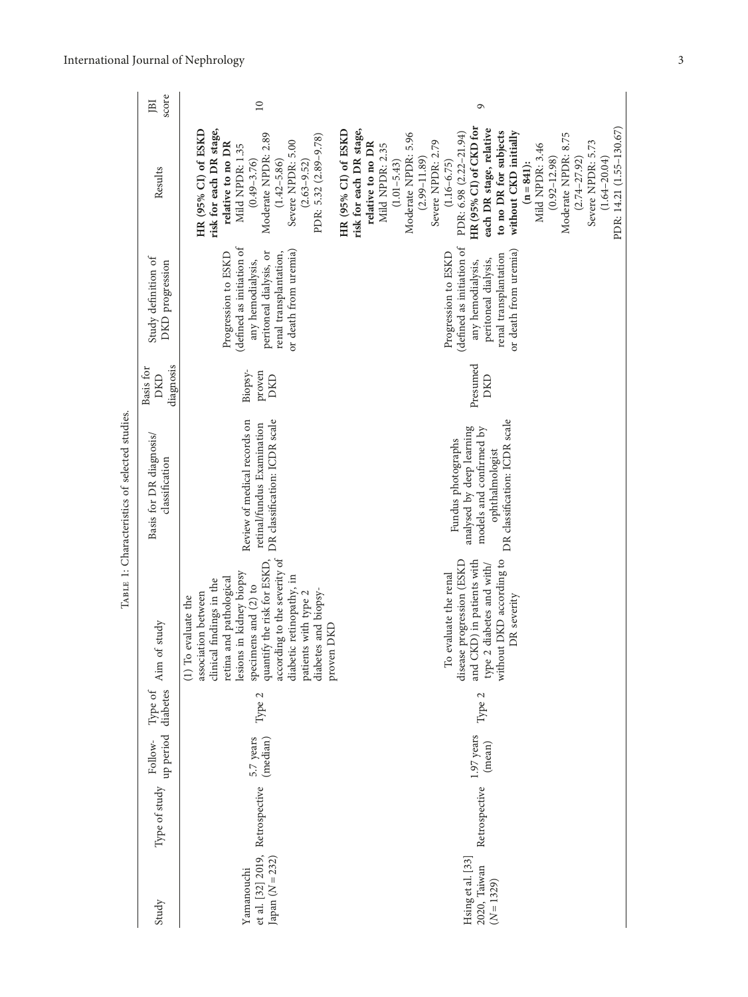<span id="page-2-0"></span>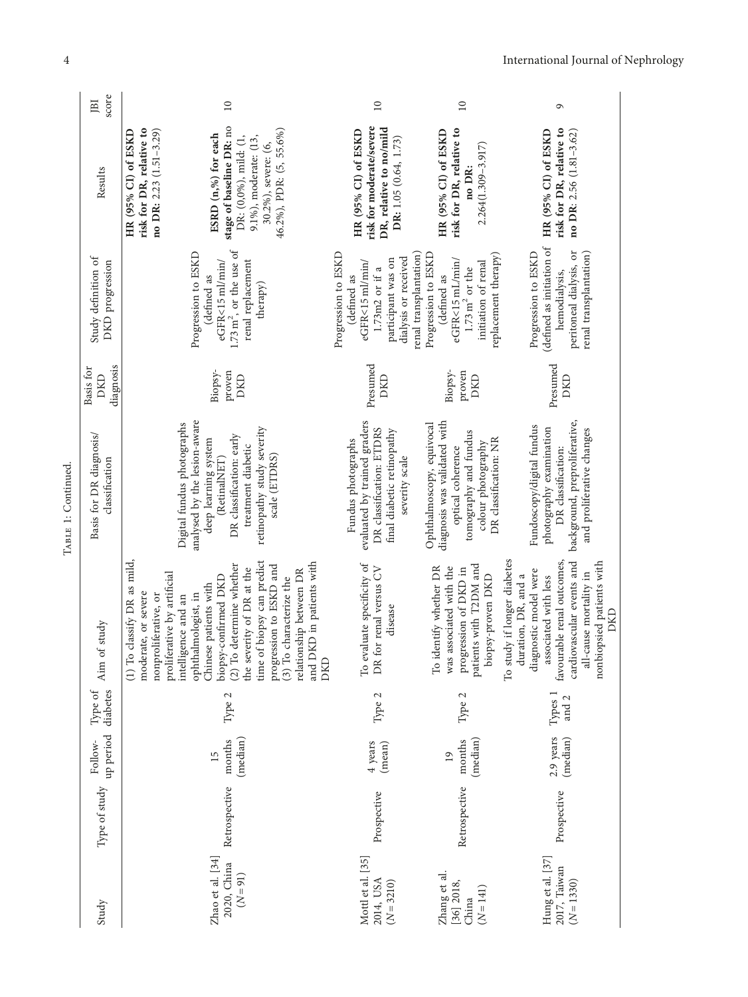| JBI                     | score            | $\overline{10}$                                                                                                                                                                                                                                                                                                                                                                                                                   |                                                                                | $\overline{10}$                                                                                     | $\overline{10}$                                                                                                                                               |
|-------------------------|------------------|-----------------------------------------------------------------------------------------------------------------------------------------------------------------------------------------------------------------------------------------------------------------------------------------------------------------------------------------------------------------------------------------------------------------------------------|--------------------------------------------------------------------------------|-----------------------------------------------------------------------------------------------------|---------------------------------------------------------------------------------------------------------------------------------------------------------------|
|                         | Results          | stage of baseline DR: no<br>46.2%), PDR: (5, 55.6%)<br>risk for DR, relative to<br>no DR: 2.23 $(1.51 - 3.29)$<br>HR (95% CI) of ESKD<br>ESRD (n,%) for each<br>DR: (0,0%), mild: (1,<br>9.1%), moderate: (13,<br>30.2%), severe: (6,                                                                                                                                                                                             |                                                                                | risk for moderate/severe<br>DR, relative to no/mild<br>HR (95% CI) of ESKD<br>DR: 1.05 (0.64, 1.73) | risk for DR, relative to<br>HR (95% CI) of ESKD<br>$2.264(1.309 - 3.917)$<br>no DR:                                                                           |
| Study definition of     | DKD progression  | $1.73 \text{ m}^2$ , or the use of<br>Progression to ESKD<br>eGFR<15 ml/min/<br>renal replacement<br>(defined as<br>therapy)                                                                                                                                                                                                                                                                                                      | Progression to ESKD<br>(defined as                                             | dialysis or received<br>participant was on<br>eGFR<15 ml/min/<br>1.73m2 or if a                     | renal transplantation)<br>Progression to ESKD<br>replacement therapy)<br>eGFR<15 mL/min/<br>initiation of renal<br>$1.73\,\mathrm{m}^2$ or the<br>(defined as |
| Basis for               | diagnosis<br>DKD | Biopsy-<br>proven<br>DKD                                                                                                                                                                                                                                                                                                                                                                                                          | Presumed                                                                       | DKD                                                                                                 | Biopsy-<br>proven<br>DKD                                                                                                                                      |
| Basis for DR diagnosis/ | classification   | analysed by the lesion-aware<br>Digital fundus photographs<br>retinopathy study severity<br>DR classification: early<br>deep learning system<br>treatment diabetic<br>(RetinalNET)<br>scale (ETDRS)                                                                                                                                                                                                                               | evaluated by trained graders<br>DR classification: ETDRS<br>Fundus photographs | final diabetic retinopathy<br>severity scale                                                        | diagnosis was validated with<br>Ophthalmoscopy, equivocal<br>tomography and fundus<br>DR classification: NR<br>colour photography<br>optical coherence        |
|                         | Aim of study     | time of biopsy can predict<br>classify DR as mild,<br>and DKD in patients with<br>determine whether<br>progression to ESKD and<br>the severity of DR at the<br>relationship between DR<br>proliferative by artificial<br>biopsy-confirmed DKD<br>(3) To characterize the<br>Chinese patients with<br>moderate, or severe<br>ophthalmologist, in<br>nonproliferative, or<br>intelligence and an<br>$(1)$ To $($<br>$(2)$ To<br>DKD | To evaluate specificity of<br>DR for renal versus CV                           | disease                                                                                             | patients with T2DM and<br>To identify whether DR<br>was associated with the<br>progression of DKD in<br>biopsy-proven DKD                                     |
| Type of                 | diabetes         | Type 2                                                                                                                                                                                                                                                                                                                                                                                                                            | Type 2                                                                         |                                                                                                     | Type 2                                                                                                                                                        |
| Follow-                 | up period        | (median)<br>months<br>15                                                                                                                                                                                                                                                                                                                                                                                                          | 4 years<br>(mean)                                                              |                                                                                                     | (median)<br>months<br>$\overline{19}$                                                                                                                         |
|                         | Type of study    | Retrospective                                                                                                                                                                                                                                                                                                                                                                                                                     | Prospective                                                                    |                                                                                                     | Retrospective                                                                                                                                                 |
|                         | Study            | Zhao et al. [34]<br>2020, China<br>$(N=91)$                                                                                                                                                                                                                                                                                                                                                                                       | Mottl et al. [35]<br>2014, USA<br>$(N = 3210)$                                 |                                                                                                     | Zhang et al.<br>$[36]$ $2018$ ,<br>$(N = 141)$<br>China                                                                                                       |

TABLE 1: Continued. TABLE 1: Continued.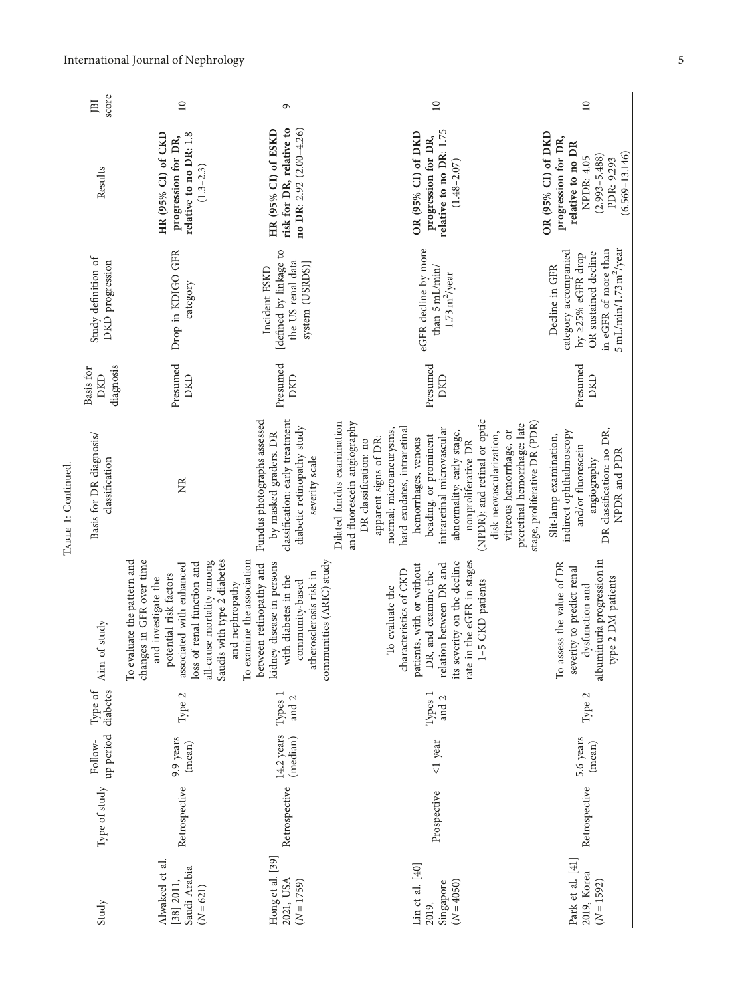|                     | score<br>[BI                              | $\supseteq$                                                                                                                                                                                                                                       | ٥                                                                                                                                                                                    | $\overline{10}$                                                                                                                                                                                                                                                                                                                                                                                                                                                | $\overline{10}$                                                                                                                                     |
|---------------------|-------------------------------------------|---------------------------------------------------------------------------------------------------------------------------------------------------------------------------------------------------------------------------------------------------|--------------------------------------------------------------------------------------------------------------------------------------------------------------------------------------|----------------------------------------------------------------------------------------------------------------------------------------------------------------------------------------------------------------------------------------------------------------------------------------------------------------------------------------------------------------------------------------------------------------------------------------------------------------|-----------------------------------------------------------------------------------------------------------------------------------------------------|
|                     | Results                                   | HR (95% CI) of CKD<br>relative to no DR: 1.8<br>progression for DR,<br>$(1.3 - 2.3)$                                                                                                                                                              | risk for DR, relative to<br>no DR: 2.92 (2.00-4.26)<br>HR (95% CI) of ESKD                                                                                                           | relative to no DR: 1.75<br>OR (95% CI) of DKD<br>progression for DR,<br>$(1.48 - 2.07)$                                                                                                                                                                                                                                                                                                                                                                        | OR (95% CI) of DKD<br>progression for DR,<br>relative to no DR<br>$(6.569 - 13.146)$<br>$(2.993 - 5.488)$<br><b>NPDR: 4.05</b><br>PDR: 9.293        |
|                     | Study definition of<br>DKD progression    | Drop in KDIGO GFR<br>category                                                                                                                                                                                                                     | [defined by linkage to<br>the US renal data<br>system (USRDS)]<br>Incident ESKD                                                                                                      | eGFR decline by more<br>than 5 mL/min/<br>$1.73\,\mathrm{m}^2/\mathrm{year}$                                                                                                                                                                                                                                                                                                                                                                                   | in eGFR of more than<br>$5$ mL/min/1.73 m <sup>2</sup> /year<br>category accompanied<br>OR sustained decline<br>by ≥25% eGFR drop<br>Decline in GFR |
|                     | diagnosis<br>Basis for<br>DKD             | Presumed<br>DKD                                                                                                                                                                                                                                   | Presumed<br>DKD                                                                                                                                                                      | Presumed<br>DKD                                                                                                                                                                                                                                                                                                                                                                                                                                                | Presumed<br>DKD                                                                                                                                     |
| TABLE 1: Continued. | Basis for DR diagnosis/<br>classification | ã                                                                                                                                                                                                                                                 | Fundus photographs assessed<br>classification: early treatment<br>diabetic retinopathy study<br>by masked graders. DR<br>severity scale                                              | (NPDR); and retinal or optic<br>and fluorescein angiography<br>Dilated fundus examination<br>stage, proliferative DR (PDR)<br>preretinal hemorrhage: late<br>hard exudates, intraretinal<br>intraretinal microvascular<br>normal; microaneurysms,<br>abnormality: early stage,<br>vitreous hemorrhage, or<br>disk neovascularization,<br>beading, or prominent<br>apparent signs of DR:<br>hemorrhages, venous<br>DR classification: no<br>nonproliferative DR | DR classification: no DR,<br>indirect ophthalmoscopy<br>Slit-lamp examination,<br>and/or fluorescein<br>NPDR and PDR<br>angiography                 |
|                     | study<br>Aim of s                         | changes in GFR over time<br>Saudis with type 2 diabetes<br>To evaluate the pattern and<br>all-cause mortality among<br>loss of renal function and<br>associated with enhanced<br>potential risk factors<br>and investigate the<br>and nephropathy | To examine the association<br>communities (ARIC) study<br>kidney disease in persons<br>between retinopathy and<br>atherosclerosis risk in<br>with diabetes in the<br>community-based | rate in the eGFR in stages<br>its severity on the decline<br>relation between DR and<br>patients, with or without<br>characteristics of CKD<br>DR, and examine the<br>1-5 CKD patients<br>o evaluate the<br>H                                                                                                                                                                                                                                                  | albuminuria progression in<br>To assess the value of DR<br>severity to predict renal<br>type 2 DM patients<br>dysfunction and                       |
|                     | diabetes<br>Type of                       | Type 2                                                                                                                                                                                                                                            | and 2<br>Types                                                                                                                                                                       | Types 1<br>and 2                                                                                                                                                                                                                                                                                                                                                                                                                                               | Type 2                                                                                                                                              |
|                     | up period<br>Follow-                      | 9.9 years<br>(mean)                                                                                                                                                                                                                               | 14.2 years<br>(median)                                                                                                                                                               | $1$ year                                                                                                                                                                                                                                                                                                                                                                                                                                                       | 5.6 years<br>(mean)                                                                                                                                 |
|                     | Type of study                             | Retrospective                                                                                                                                                                                                                                     | Retrospective                                                                                                                                                                        | Prospective                                                                                                                                                                                                                                                                                                                                                                                                                                                    | Retrospective                                                                                                                                       |
|                     | Study                                     | Alwakeel et al.<br>Saudi Arabia<br>[38] 2011,<br>$(N = 621)$                                                                                                                                                                                      | Hong et al. [39]<br>2021, USA<br>$(N = 1759)$                                                                                                                                        | $\text{Lin et al. }[40]$<br>$(N = 4050)$<br>Singapore<br>2019,                                                                                                                                                                                                                                                                                                                                                                                                 | Park et al. [41]<br>2019, Korea<br>$(N = 1592)$                                                                                                     |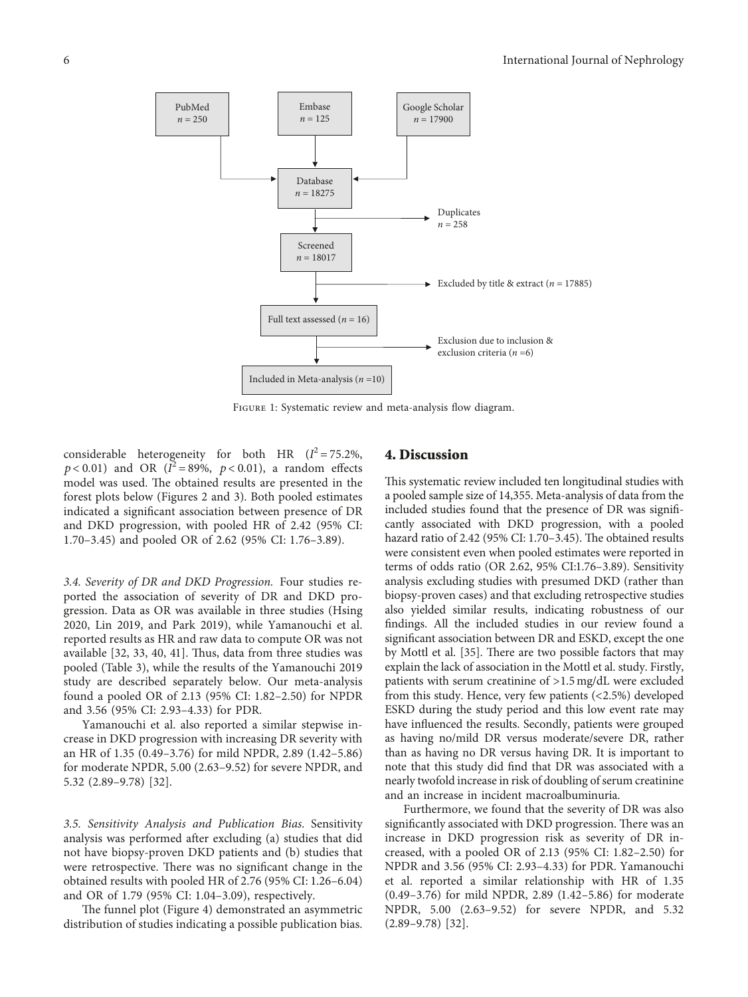<span id="page-5-0"></span>PubMed  $n = 250$ Embase  $n = 125$ Google Scholar  $n = 17900$ Database  $n = 18275$ Screened  $n = 18017$ Included in Meta-analysis (*n* =10) Full text assessed  $(n = 16)$ Duplicates  $n = 258$ Excluded by title & extract  $(n = 17885)$ Exclusion due to inclusion & exclusion criteria (*n* =6)

Figure 1: Systematic review and meta-analysis flow diagram.

considerable heterogeneity for both HR  $(I^2 = 75.2\%$ ,  $p < 0.01$ ) and OR ( $\tilde{I}^2 = 89\%$ ,  $p < 0.01$ ), a random effects model was used. The obtained results are presented in the forest plots below (Figures [2](#page-7-0) and [3\)](#page-7-0). Both pooled estimates indicated a significant association between presence of DR and DKD progression, with pooled HR of 2.42 (95% CI: 1.70–3.45) and pooled OR of 2.62 (95% CI: 1.76–3.89).

*3.4. Severity of DR and DKD Progression.* Four studies reported the association of severity of DR and DKD progression. Data as OR was available in three studies (Hsing 2020, Lin 2019, and Park 2019), while Yamanouchi et al. reported results as HR and raw data to compute OR was not available  $[32, 33, 40, 41]$  $[32, 33, 40, 41]$  $[32, 33, 40, 41]$  $[32, 33, 40, 41]$  $[32, 33, 40, 41]$ . Thus, data from three studies was pooled (Table [3\)](#page-7-0), while the results of the Yamanouchi 2019 study are described separately below. Our meta-analysis found a pooled OR of 2.13 (95% CI: 1.82–2.50) for NPDR and 3.56 (95% CI: 2.93–4.33) for PDR.

Yamanouchi et al. also reported a similar stepwise increase in DKD progression with increasing DR severity with an HR of 1.35 (0.49–3.76) for mild NPDR, 2.89 (1.42–5.86) for moderate NPDR, 5.00 (2.63–9.52) for severe NPDR, and 5.32 (2.89–9.78) [[32\]](#page-9-0).

*3.5. Sensitivity Analysis and Publication Bias.* Sensitivity analysis was performed after excluding (a) studies that did not have biopsy-proven DKD patients and (b) studies that were retrospective. There was no significant change in the obtained results with pooled HR of 2.76 (95% CI: 1.26–6.04) and OR of 1.79 (95% CI: 1.04–3.09), respectively.

The funnel plot (Figure [4](#page-7-0)) demonstrated an asymmetric distribution of studies indicating a possible publication bias.

#### **4. Discussion**

This systematic review included ten longitudinal studies with a pooled sample size of 14,355. Meta-analysis of data from the included studies found that the presence of DR was significantly associated with DKD progression, with a pooled hazard ratio of  $2.42$  (95% CI:  $1.70-3.45$ ). The obtained results were consistent even when pooled estimates were reported in terms of odds ratio (OR 2.62, 95% CI:1.76–3.89). Sensitivity analysis excluding studies with presumed DKD (rather than biopsy-proven cases) and that excluding retrospective studies also yielded similar results, indicating robustness of our findings. All the included studies in our review found a significant association between DR and ESKD, except the one by Mottl et al. [[35](#page-9-0)]. There are two possible factors that may explain the lack of association in the Mottl et al. study. Firstly, patients with serum creatinine of >1.5 mg/dL were excluded from this study. Hence, very few patients (<2.5%) developed ESKD during the study period and this low event rate may have influenced the results. Secondly, patients were grouped as having no/mild DR versus moderate/severe DR, rather than as having no DR versus having DR. It is important to note that this study did find that DR was associated with a nearly twofold increase in risk of doubling of serum creatinine and an increase in incident macroalbuminuria.

Furthermore, we found that the severity of DR was also significantly associated with DKD progression. There was an increase in DKD progression risk as severity of DR increased, with a pooled OR of 2.13 (95% CI: 1.82–2.50) for NPDR and 3.56 (95% CI: 2.93–4.33) for PDR. Yamanouchi et al. reported a similar relationship with HR of 1.35 (0.49–3.76) for mild NPDR, 2.89 (1.42–5.86) for moderate NPDR, 5.00 (2.63–9.52) for severe NPDR, and 5.32 (2.89–9.78) [\[32\]](#page-9-0).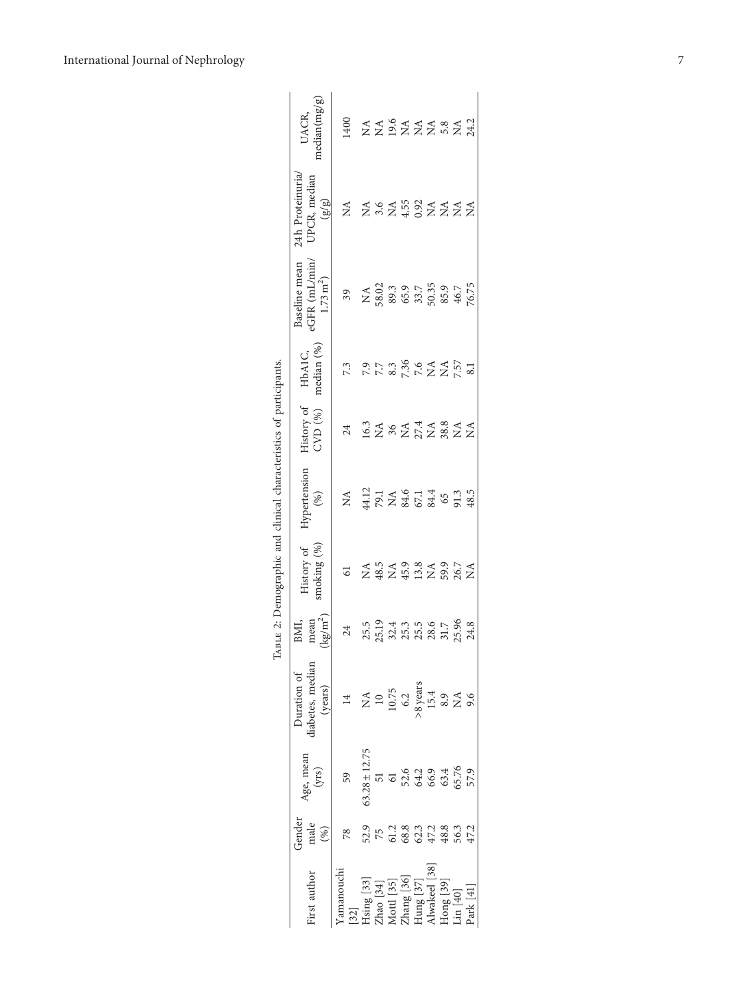| TABLE 2: Demographic and clinical characteristics of participants. | median(mg/g)<br>UACR,<br>24h Proteinuria<br>JPCR, median<br>$\binom{3}{2}$<br>eGFR (mL/min<br>Baseline mean<br>$1.73 \,\mathrm{m}^2$<br>median (%)<br>HbA1C,<br>History of<br>$CVD$ $(\%)$<br>Hypertension<br>(%)<br>History of<br>smoking (%)<br>$\rm (kg/m^2)$<br>mean<br>BMI,<br>Duration of<br>(years) | 1400<br>₹<br>39<br>7.3<br>24<br>$\mathop{\rm NA}_{}$<br>61<br>24<br>$\overline{14}$ | $\begin{array}{c} 1.21 \\ 1.31 \\ 1.44 \\ 1.54 \\ 1.54 \\ 1.55 \\ 1.55 \\ 1.55 \\ 1.55 \\ 1.55 \\ 1.55 \\ 1.55 \\ 1.55 \\ 1.55 \\ 1.55 \\ 1.55 \\ 1.55 \\ 1.55 \\ 1.55 \\ 1.55 \\ 1.55 \\ 1.55 \\ 1.55 \\ 1.55 \\ 1.55 \\ 1.55 \\ 1.55 \\ 1.55 \\ 1.55 \\ 1.55 \\ 1.55 \\ 1.55 \\ 1.55 \\ 1.55 \\ 1.55 \\ 1.$ |  | $\begin{array}{cccccccccc}\n 4 & 4 & 9 & 4 & 4 & 4 & 8 & 4 & 3\\ \n 2 & 2 & 2 & 2 & 2 & 5 & 6 & 7 & 3\\ \n 3 & 3 & 4 & 3 & 4 & 3 & 4 & 5\\ \n 4 & 4 & 4 & 4 & 4 & 5 & 6 & 7 & 3\\ \n 5 & 4 & 4 & 4 & 5 & 6 & 7 & 3\\ \n 6 & 4 & 4 & 5 & 6 & 7 & 3 & 3\\ \n 7 & 4 & 5 & 4 & 5 & 7 & 3 & 3\\ \n 8 & 4 & 5 & 4 & 5 & 7 & $<br>$X \times 1000$<br>$X \times 1000$<br>$X \times 1000$<br>$X \times 1000$<br>$\begin{array}{c} \tt NA\\ 58.02\\ 69.3\\ 65.9\\ 65.7\\ 50.35\\ 65.9\\ 65.9\\ 65.7\\ 76.75 \end{array}$<br>$7.788$<br>$7.388$<br>$7.527$<br>$7.51$<br>$8.1$<br>$2787728744$<br>$\begin{array}{c}\n 14.5 \\ 24.5 \\ 34.5 \\ 45.3 \\ 56.7 \\ 56.7 \\ 56.7 \\ 56.7 \\ 56.7 \\ 56.7 \\ 56.7 \\ 56.7 \\ 56.7 \\ 56.7 \\ 56.7 \\ 56.7 \\ 56.7 \\ 56.7 \\ 56.7 \\ 56.7 \\ 56.7 \\ 56.7 \\ 56.7 \\ 56.7 \\ 56.7 \\ 56.7 \\ 56.7 \\ 56.7 \\ 56.7 \\ 56.7 \\ 56.7 \\ 56.7 \\ 56.7 \\ 56.7 \\ 56.7 \\ 5$<br>15.5<br>25.13 25.15 26.55<br>25.15 26.25 24.8<br>NA<br>10<br>10.75<br>6.2<br>8.9<br>8.4<br>8.9<br>2<br>9.6 |              |                    |         |          |
|--------------------------------------------------------------------|------------------------------------------------------------------------------------------------------------------------------------------------------------------------------------------------------------------------------------------------------------------------------------------------------------|-------------------------------------------------------------------------------------|---------------------------------------------------------------------------------------------------------------------------------------------------------------------------------------------------------------------------------------------------------------------------------------------------------------|--|--------------------------------------------------------------------------------------------------------------------------------------------------------------------------------------------------------------------------------------------------------------------------------------------------------------------------------------------------------------------------------------------------------------------------------------------------------------------------------------------------------------------------------------------------------------------------------------------------------------------------------------------------------------------------------------------------------------------------------------------------------------------------------------------------------------------------------------------------------------------------------------------------------------------------------------------------------------------------------------------------------------------|--------------|--------------------|---------|----------|
|                                                                    |                                                                                                                                                                                                                                                                                                            |                                                                                     |                                                                                                                                                                                                                                                                                                               |  |                                                                                                                                                                                                                                                                                                                                                                                                                                                                                                                                                                                                                                                                                                                                                                                                                                                                                                                                                                                                                    |              |                    |         |          |
|                                                                    | liabetes, mediar                                                                                                                                                                                                                                                                                           |                                                                                     |                                                                                                                                                                                                                                                                                                               |  |                                                                                                                                                                                                                                                                                                                                                                                                                                                                                                                                                                                                                                                                                                                                                                                                                                                                                                                                                                                                                    |              |                    |         |          |
|                                                                    | Age, mean $(yrs)$                                                                                                                                                                                                                                                                                          | 59                                                                                  | $53.28 \pm 12.75$                                                                                                                                                                                                                                                                                             |  | 52.6<br>64.2<br>65.76<br>65.79                                                                                                                                                                                                                                                                                                                                                                                                                                                                                                                                                                                                                                                                                                                                                                                                                                                                                                                                                                                     |              |                    |         |          |
|                                                                    | Gender<br>male                                                                                                                                                                                                                                                                                             | 78                                                                                  |                                                                                                                                                                                                                                                                                                               |  | $529$<br>$55$ $-28$<br>$-38$<br>$-32$<br>$-32$<br>$-32$<br>$-32$<br>$-32$<br>$-32$<br>$-32$<br>$-32$<br>$-32$                                                                                                                                                                                                                                                                                                                                                                                                                                                                                                                                                                                                                                                                                                                                                                                                                                                                                                      |              |                    |         |          |
|                                                                    | irst author                                                                                                                                                                                                                                                                                                | amanouc<br>[32]                                                                     |                                                                                                                                                                                                                                                                                                               |  | Hsing [33]<br>Zhao [34]<br>Mottl [35]<br>Zhang [36]<br>Zhang [36]                                                                                                                                                                                                                                                                                                                                                                                                                                                                                                                                                                                                                                                                                                                                                                                                                                                                                                                                                  | Iwakeel [38] | $\lceil 39 \rceil$ | in [40] | ark [41] |

<span id="page-6-0"></span>International Journal of Nephrology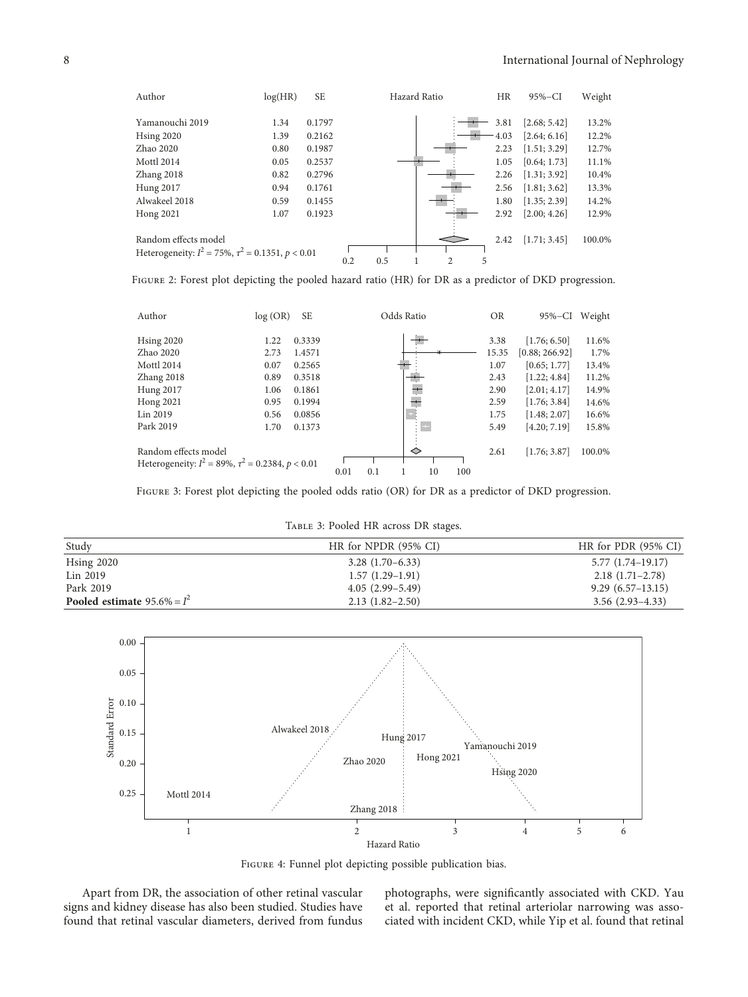<span id="page-7-0"></span>

Figure 2: Forest plot depicting the pooled hazard ratio (HR) for DR as a predictor of DKD progression.

| Author                                                                         | log(OR) | <b>SE</b> |      |     | Odds Ratio |               |     | <b>OR</b> | $95\%$ -CI     | Weight |
|--------------------------------------------------------------------------------|---------|-----------|------|-----|------------|---------------|-----|-----------|----------------|--------|
| <b>Hsing 2020</b>                                                              | 1.22    | 0.3339    |      |     |            |               |     | 3.38      | [1.76; 6.50]   | 11.6%  |
| Zhao 2020                                                                      | 2.73    | 1.4571    |      |     |            |               |     | 15.35     | [0.88; 266.92] | 1.7%   |
| Mottl 2014                                                                     | 0.07    | 0.2565    |      |     |            |               |     | 1.07      | [0.65; 1.77]   | 13.4%  |
| Zhang 2018                                                                     | 0.89    | 0.3518    |      |     |            |               |     | 2.43      | [1.22:4.84]    | 11.2%  |
| Hung 2017                                                                      | 1.06    | 0.1861    |      |     | $+$        |               |     | 2.90      | [2.01; 4.17]   | 14.9%  |
| <b>Hong 2021</b>                                                               | 0.95    | 0.1994    |      |     |            |               |     | 2.59      | [1.76; 3.84]   | 14.6%  |
| Lin 2019                                                                       | 0.56    | 0.0856    |      |     |            |               |     | 1.75      | [1.48; 2.07]   | 16.6%  |
| Park 2019                                                                      | 1.70    | 0.1373    |      |     | ٠          | $\rightarrow$ |     | 5.49      | [4.20; 7.19]   | 15.8%  |
| Random effects model<br>Heterogeneity: $I^2 = 89\%, \tau^2 = 0.2384, p < 0.01$ |         |           |      |     | ◇          |               |     | 2.61      | [1.76; 3.87]   | 100.0% |
|                                                                                |         |           | 0.01 | 0.1 |            | 10            | 100 |           |                |        |

FIGURE 3: Forest plot depicting the pooled odds ratio (OR) for DR as a predictor of DKD progression.

Table 3: Pooled HR across DR stages.

| Study                          | HR for NPDR (95% CI) | HR for PDR $(95\% \text{ CI})$ |
|--------------------------------|----------------------|--------------------------------|
| $H\sin g$ 2020                 | $3.28(1.70-6.33)$    | $5.77(1.74-19.17)$             |
| Lin 2019                       | $1.57(1.29-1.91)$    | $2.18(1.71-2.78)$              |
| Park 2019                      | $4.05(2.99-5.49)$    | $9.29(6.57-13.15)$             |
| Pooled estimate $95.6\% = I^2$ | $2.13(1.82 - 2.50)$  | $3.56(2.93-4.33)$              |



Figure 4: Funnel plot depicting possible publication bias.

Apart from DR, the association of other retinal vascular signs and kidney disease has also been studied. Studies have found that retinal vascular diameters, derived from fundus photographs, were significantly associated with CKD. Yau et al. reported that retinal arteriolar narrowing was associated with incident CKD, while Yip et al. found that retinal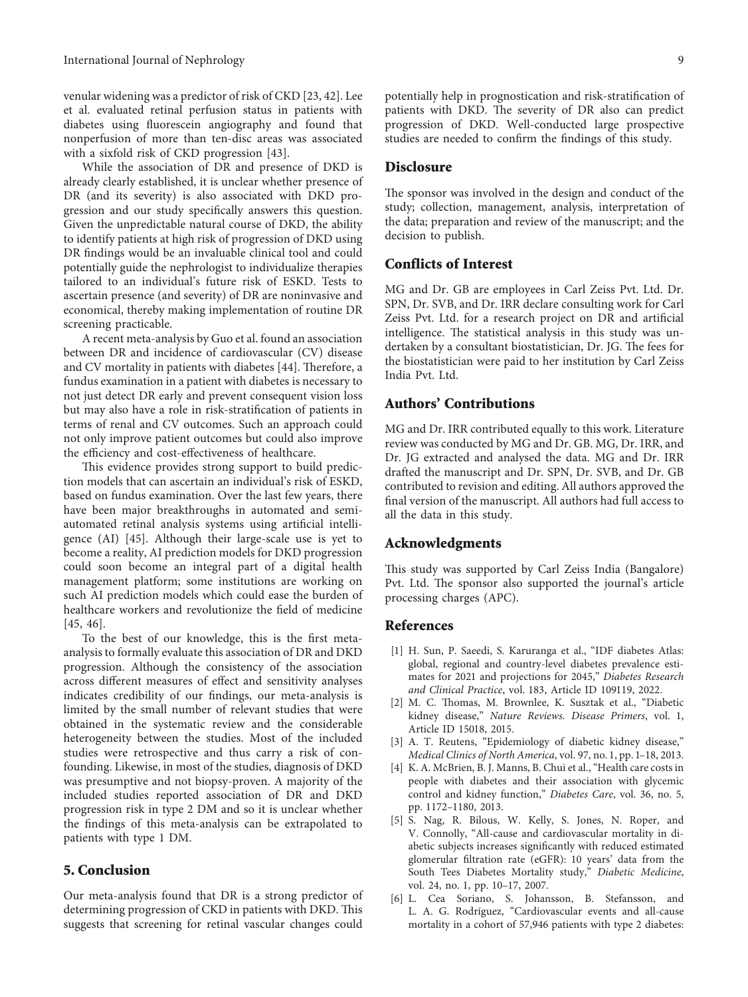<span id="page-8-0"></span>venular widening was a predictor of risk of CKD [\[23,](#page-9-0) [42\]](#page-10-0). Lee et al. evaluated retinal perfusion status in patients with diabetes using fluorescein angiography and found that nonperfusion of more than ten-disc areas was associated with a sixfold risk of CKD progression [\[43](#page-10-0)].

While the association of DR and presence of DKD is already clearly established, it is unclear whether presence of DR (and its severity) is also associated with DKD progression and our study specifically answers this question. Given the unpredictable natural course of DKD, the ability to identify patients at high risk of progression of DKD using DR findings would be an invaluable clinical tool and could potentially guide the nephrologist to individualize therapies tailored to an individual's future risk of ESKD. Tests to ascertain presence (and severity) of DR are noninvasive and economical, thereby making implementation of routine DR screening practicable.

A recent meta-analysis by Guo et al. found an association between DR and incidence of cardiovascular (CV) disease and CV mortality in patients with diabetes [[44\]](#page-10-0). Therefore, a fundus examination in a patient with diabetes is necessary to not just detect DR early and prevent consequent vision loss but may also have a role in risk-stratification of patients in terms of renal and CV outcomes. Such an approach could not only improve patient outcomes but could also improve the efficiency and cost-effectiveness of healthcare.

This evidence provides strong support to build prediction models that can ascertain an individual's risk of ESKD, based on fundus examination. Over the last few years, there have been major breakthroughs in automated and semiautomated retinal analysis systems using artificial intelligence (AI) [[45](#page-10-0)]. Although their large-scale use is yet to become a reality, AI prediction models for DKD progression could soon become an integral part of a digital health management platform; some institutions are working on such AI prediction models which could ease the burden of healthcare workers and revolutionize the field of medicine [\[45, 46](#page-10-0)].

To the best of our knowledge, this is the first metaanalysis to formally evaluate this association of DR and DKD progression. Although the consistency of the association across different measures of effect and sensitivity analyses indicates credibility of our findings, our meta-analysis is limited by the small number of relevant studies that were obtained in the systematic review and the considerable heterogeneity between the studies. Most of the included studies were retrospective and thus carry a risk of confounding. Likewise, in most of the studies, diagnosis of DKD was presumptive and not biopsy-proven. A majority of the included studies reported association of DR and DKD progression risk in type 2 DM and so it is unclear whether the findings of this meta-analysis can be extrapolated to patients with type 1 DM.

#### **5. Conclusion**

Our meta-analysis found that DR is a strong predictor of determining progression of CKD in patients with DKD. This suggests that screening for retinal vascular changes could potentially help in prognostication and risk-stratification of patients with DKD. The severity of DR also can predict progression of DKD. Well-conducted large prospective studies are needed to confirm the findings of this study.

#### **Disclosure**

The sponsor was involved in the design and conduct of the study; collection, management, analysis, interpretation of the data; preparation and review of the manuscript; and the decision to publish.

#### **Conflicts of Interest**

MG and Dr. GB are employees in Carl Zeiss Pvt. Ltd. Dr. SPN, Dr. SVB, and Dr. IRR declare consulting work for Carl Zeiss Pvt. Ltd. for a research project on DR and artificial intelligence. The statistical analysis in this study was undertaken by a consultant biostatistician, Dr. JG. The fees for the biostatistician were paid to her institution by Carl Zeiss India Pvt. Ltd.

# **Authors' Contributions**

MG and Dr. IRR contributed equally to this work. Literature review was conducted by MG and Dr. GB. MG, Dr. IRR, and Dr. JG extracted and analysed the data. MG and Dr. IRR drafted the manuscript and Dr. SPN, Dr. SVB, and Dr. GB contributed to revision and editing. All authors approved the final version of the manuscript. All authors had full access to all the data in this study.

#### **Acknowledgments**

This study was supported by Carl Zeiss India (Bangalore) Pvt. Ltd. The sponsor also supported the journal's article processing charges (APC).

#### **References**

- [1] H. Sun, P. Saeedi, S. Karuranga et al., "IDF diabetes Atlas: global, regional and country-level diabetes prevalence estimates for 2021 and projections for 2045," *Diabetes Research and Clinical Practice*, vol. 183, Article ID 109119, 2022.
- [2] M. C. Thomas, M. Brownlee, K. Susztak et al., "Diabetic kidney disease," *Nature Reviews. Disease Primers*, vol. 1, Article ID 15018, 2015.
- [3] A. T. Reutens, "Epidemiology of diabetic kidney disease," *Medical Clinics of North America*, vol. 97, no. 1, pp. 1–18, 2013.
- [4] K. A. McBrien, B. J. Manns, B. Chui et al., "Health care costs in people with diabetes and their association with glycemic control and kidney function," *Diabetes Care*, vol. 36, no. 5, pp. 1172–1180, 2013.
- [5] S. Nag, R. Bilous, W. Kelly, S. Jones, N. Roper, and V. Connolly, "All-cause and cardiovascular mortality in diabetic subjects increases significantly with reduced estimated glomerular filtration rate (eGFR): 10 years' data from the South Tees Diabetes Mortality study," *Diabetic Medicine*, vol. 24, no. 1, pp. 10–17, 2007.
- [6] L. Cea Soriano, S. Johansson, B. Stefansson, and L. A. G. Rodríguez, "Cardiovascular events and all-cause mortality in a cohort of 57,946 patients with type 2 diabetes: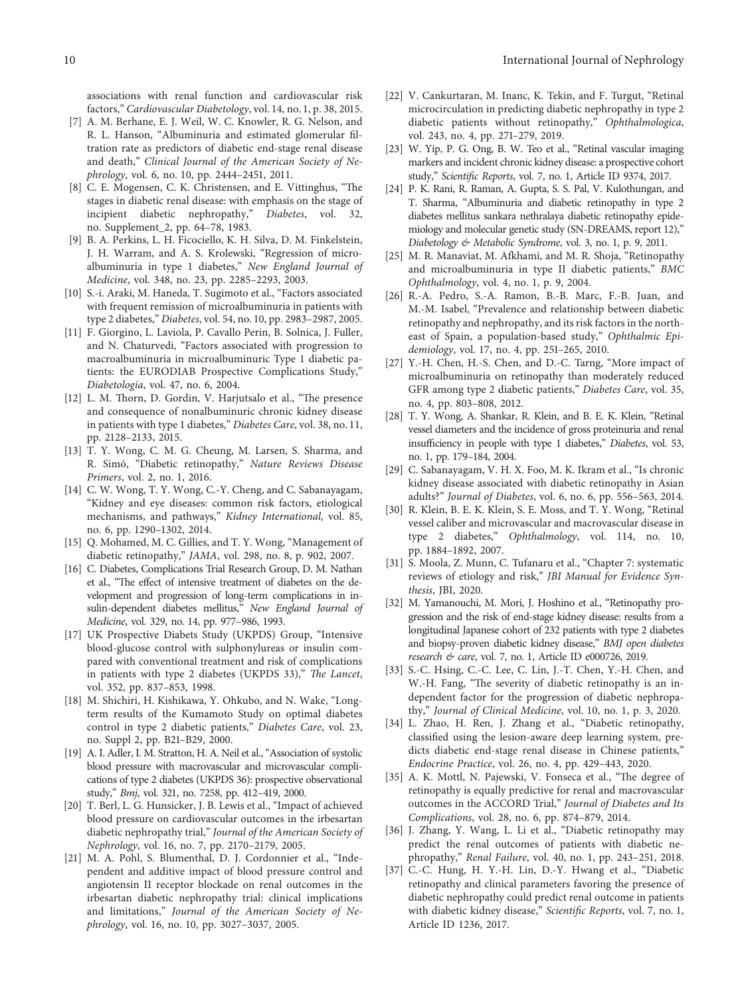<span id="page-9-0"></span>associations with renal function and cardiovascular risk factors," *Cardiovascular Diabetology*, vol. 14, no. 1, p. 38, 2015.

- [7] A. M. Berhane, E. J. Weil, W. C. Knowler, R. G. Nelson, and R. L. Hanson, "Albuminuria and estimated glomerular filtration rate as predictors of diabetic end-stage renal disease and death," *Clinical Journal of the American Society of Nephrology*, vol. 6, no. 10, pp. 2444–2451, 2011.
- [8] C. E. Mogensen, C. K. Christensen, and E. Vittinghus, "The stages in diabetic renal disease: with emphasis on the stage of<br>incipient diabetic nephropathy," Diabetes, vol. 32, incipient diabetic nephropathy," no. Supplement\_2, pp. 64–78, 1983.
- [9] B. A. Perkins, L. H. Ficociello, K. H. Silva, D. M. Finkelstein, J. H. Warram, and A. S. Krolewski, "Regression of microalbuminuria in type 1 diabetes," *New England Journal of Medicine*, vol. 348, no. 23, pp. 2285–2293, 2003.
- [10] S.-i. Araki, M. Haneda, T. Sugimoto et al., "Factors associated with frequent remission of microalbuminuria in patients with type 2 diabetes," *Diabetes*, vol. 54, no. 10, pp. 2983–2987, 2005.
- [11] F. Giorgino, L. Laviola, P. Cavallo Perin, B. Solnica, J. Fuller, and N. Chaturvedi, "Factors associated with progression to macroalbuminuria in microalbuminuric Type 1 diabetic patients: the EURODIAB Prospective Complications Study," *Diabetologia*, vol. 47, no. 6, 2004.
- [12] L. M. Thorn, D. Gordin, V. Harjutsalo et al., "The presence and consequence of nonalbuminuric chronic kidney disease in patients with type 1 diabetes," *Diabetes Care*, vol. 38, no. 11, pp. 2128–2133, 2015.
- [13] T. Y. Wong, C. M. G. Cheung, M. Larsen, S. Sharma, and R. Simo, "Diabetic retinopathy," ´ *Nature Reviews Disease Primers*, vol. 2, no. 1, 2016.
- [14] C. W. Wong, T. Y. Wong, C.-Y. Cheng, and C. Sabanayagam, "Kidney and eye diseases: common risk factors, etiological mechanisms, and pathways," *Kidney International*, vol. 85, no. 6, pp. 1290–1302, 2014.
- [15] Q. Mohamed, M. C. Gillies, and T. Y. Wong, "Management of diabetic retinopathy," *JAMA*, vol. 298, no. 8, p. 902, 2007.
- [16] C. Diabetes, Complications Trial Research Group, D. M. Nathan et al., "The effect of intensive treatment of diabetes on the development and progression of long-term complications in insulin-dependent diabetes mellitus," *New England Journal of Medicine*, vol. 329, no. 14, pp. 977–986, 1993.
- [17] UK Prospective Diabets Study (UKPDS) Group, "Intensive blood-glucose control with sulphonylureas or insulin compared with conventional treatment and risk of complications in patients with type 2 diabetes (UKPDS 33)," *The Lancet*, vol. 352, pp. 837–853, 1998.
- [18] M. Shichiri, H. Kishikawa, Y. Ohkubo, and N. Wake, "Longterm results of the Kumamoto Study on optimal diabetes control in type 2 diabetic patients," *Diabetes Care*, vol. 23, no. Suppl 2, pp. B21–B29, 2000.
- [19] A. I. Adler, I. M. Stratton, H. A. Neil et al., "Association of systolic blood pressure with macrovascular and microvascular complications of type 2 diabetes (UKPDS 36): prospective observational study," *Bmj*, vol. 321, no. 7258, pp. 412–419, 2000.
- [20] T. Berl, L. G. Hunsicker, J. B. Lewis et al., "Impact of achieved blood pressure on cardiovascular outcomes in the irbesartan diabetic nephropathy trial," *Journal of the American Society of Nephrology*, vol. 16, no. 7, pp. 2170–2179, 2005.
- [21] M. A. Pohl, S. Blumenthal, D. J. Cordonnier et al., "Independent and additive impact of blood pressure control and angiotensin II receptor blockade on renal outcomes in the irbesartan diabetic nephropathy trial: clinical implications and limitations," *Journal of the American Society of Nephrology*, vol. 16, no. 10, pp. 3027–3037, 2005.
- [22] V. Cankurtaran, M. Inanc, K. Tekin, and F. Turgut, "Retinal microcirculation in predicting diabetic nephropathy in type 2 diabetic patients without retinopathy," *Ophthalmologica*, vol. 243, no. 4, pp. 271–279, 2019.
- [23] W. Yip, P. G. Ong, B. W. Teo et al., "Retinal vascular imaging markers and incident chronic kidney disease: a prospective cohort study," *Scientific Reports*, vol. 7, no. 1, Article ID 9374, 2017.
- [24] P. K. Rani, R. Raman, A. Gupta, S. S. Pal, V. Kulothungan, and T. Sharma, "Albuminuria and diabetic retinopathy in type 2 diabetes mellitus sankara nethralaya diabetic retinopathy epidemiology and molecular genetic study (SN-DREAMS, report 12)," *Diabetology & Metabolic Syndrome*, vol. 3, no. 1, p. 9, 2011.
- [25] M. R. Manaviat, M. Afkhami, and M. R. Shoja, "Retinopathy and microalbuminuria in type II diabetic patients," *BMC Ophthalmology*, vol. 4, no. 1, p. 9, 2004.
- [26] R.-A. Pedro, S.-A. Ramon, B.-B. Marc, F.-B. Juan, and M.-M. Isabel, "Prevalence and relationship between diabetic retinopathy and nephropathy, and its risk factors in the northeast of Spain, a population-based study," *Ophthalmic Epidemiology*, vol. 17, no. 4, pp. 251–265, 2010.
- [27] Y.-H. Chen, H.-S. Chen, and D.-C. Tarng, "More impact of microalbuminuria on retinopathy than moderately reduced GFR among type 2 diabetic patients," *Diabetes Care*, vol. 35, no. 4, pp. 803–808, 2012.
- [28] T. Y. Wong, A. Shankar, R. Klein, and B. E. K. Klein, "Retinal vessel diameters and the incidence of gross proteinuria and renal insufficiency in people with type 1 diabetes," *Diabetes*, vol. 53, no. 1, pp. 179–184, 2004.
- [29] C. Sabanayagam, V. H. X. Foo, M. K. Ikram et al., "Is chronic kidney disease associated with diabetic retinopathy in Asian adults?" *Journal of Diabetes*, vol. 6, no. 6, pp. 556–563, 2014.
- [30] R. Klein, B. E. K. Klein, S. E. Moss, and T. Y. Wong, "Retinal vessel caliber and microvascular and macrovascular disease in type 2 diabetes," *Ophthalmology*, vol. 114, no. 10, pp. 1884–1892, 2007.
- [31] S. Moola, Z. Munn, C. Tufanaru et al., "Chapter 7: systematic reviews of etiology and risk," *JBI Manual for Evidence Synthesis*, JBI, 2020.
- [32] M. Yamanouchi, M. Mori, J. Hoshino et al., "Retinopathy progression and the risk of end-stage kidney disease: results from a longitudinal Japanese cohort of 232 patients with type 2 diabetes and biopsy-proven diabetic kidney disease," *BMJ open diabetes research & care*, vol. 7, no. 1, Article ID e000726, 2019.
- [33] S.-C. Hsing, C.-C. Lee, C. Lin, J.-T. Chen, Y.-H. Chen, and W.-H. Fang, "The severity of diabetic retinopathy is an independent factor for the progression of diabetic nephropathy," *Journal of Clinical Medicine*, vol. 10, no. 1, p. 3, 2020.
- [34] L. Zhao, H. Ren, J. Zhang et al., "Diabetic retinopathy, classified using the lesion-aware deep learning system, predicts diabetic end-stage renal disease in Chinese patients," *Endocrine Practice*, vol. 26, no. 4, pp. 429–443, 2020.
- [35] A. K. Mottl, N. Pajewski, V. Fonseca et al., "The degree of retinopathy is equally predictive for renal and macrovascular outcomes in the ACCORD Trial," *Journal of Diabetes and Its Complications*, vol. 28, no. 6, pp. 874–879, 2014.
- [36] J. Zhang, Y. Wang, L. Li et al., "Diabetic retinopathy may predict the renal outcomes of patients with diabetic nephropathy," *Renal Failure*, vol. 40, no. 1, pp. 243–251, 2018.
- [37] C.-C. Hung, H. Y.-H. Lin, D.-Y. Hwang et al., "Diabetic retinopathy and clinical parameters favoring the presence of diabetic nephropathy could predict renal outcome in patients with diabetic kidney disease," *Scientific Reports*, vol. 7, no. 1, Article ID 1236, 2017.